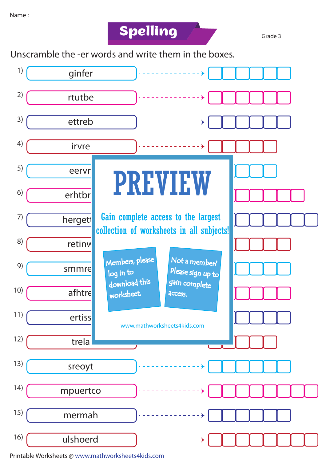**Spelling** 

Grade 3

Unscramble the -er words and write them in the boxes.



Printable Worksheets @ www.mathworksheets4kids.com